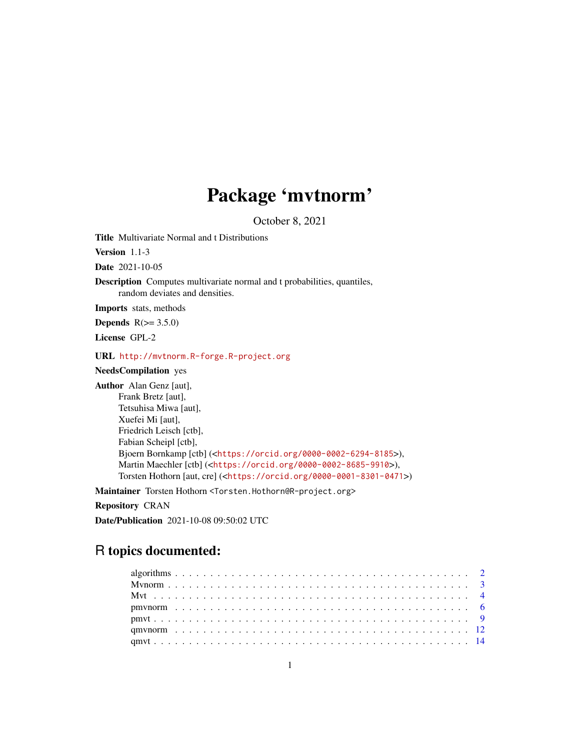## Package 'mvtnorm'

October 8, 2021

<span id="page-0-0"></span>Title Multivariate Normal and t Distributions

Version 1.1-3

Date 2021-10-05

Description Computes multivariate normal and t probabilities, quantiles, random deviates and densities.

Imports stats, methods

**Depends**  $R(>= 3.5.0)$ 

License GPL-2

URL <http://mvtnorm.R-forge.R-project.org>

NeedsCompilation yes

Author Alan Genz [aut], Frank Bretz [aut], Tetsuhisa Miwa [aut], Xuefei Mi [aut], Friedrich Leisch [ctb], Fabian Scheipl [ctb], Bjoern Bornkamp [ctb] (<<https://orcid.org/0000-0002-6294-8185>>), Martin Maechler [ctb] (<<https://orcid.org/0000-0002-8685-9910>>), Torsten Hothorn [aut, cre] (<<https://orcid.org/0000-0001-8301-0471>>)

Maintainer Torsten Hothorn <Torsten.Hothorn@R-project.org>

Repository CRAN

Date/Publication 2021-10-08 09:50:02 UTC

### R topics documented: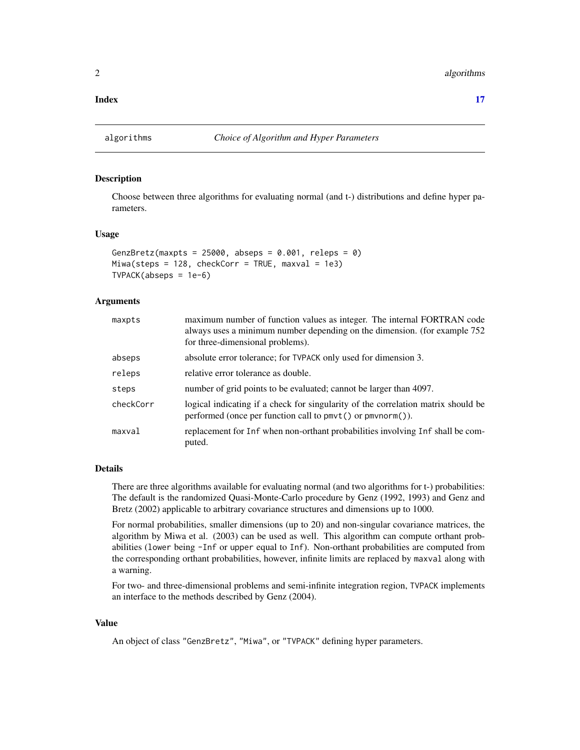<span id="page-1-0"></span>**Index** [17](#page-16-0)

#### <span id="page-1-1"></span>Description

Choose between three algorithms for evaluating normal (and t-) distributions and define hyper parameters.

#### Usage

```
GenzBretz(maxpts = 25000, abseps = 0.001, releps = 0)
Miwa(steps = 128, checkCorr = TRUE, maxval = 1e3)
TVPACK(abseps = 1e-6)
```
#### Arguments

| maxpts    | maximum number of function values as integer. The internal FORTRAN code<br>always uses a minimum number depending on the dimension. (for example 752<br>for three-dimensional problems). |
|-----------|------------------------------------------------------------------------------------------------------------------------------------------------------------------------------------------|
| abseps    | absolute error tolerance; for TVPACK only used for dimension 3.                                                                                                                          |
| releps    | relative error tolerance as double.                                                                                                                                                      |
| steps     | number of grid points to be evaluated; cannot be larger than 4097.                                                                                                                       |
| checkCorr | logical indicating if a check for singularity of the correlation matrix should be<br>performed (once per function call to $pmv$ ) or $pmv$ norm()).                                      |
| maxval    | replacement for Inf when non-orthant probabilities involving Inf shall be com-<br>puted.                                                                                                 |

#### Details

There are three algorithms available for evaluating normal (and two algorithms for t-) probabilities: The default is the randomized Quasi-Monte-Carlo procedure by Genz (1992, 1993) and Genz and Bretz (2002) applicable to arbitrary covariance structures and dimensions up to 1000.

For normal probabilities, smaller dimensions (up to 20) and non-singular covariance matrices, the algorithm by Miwa et al. (2003) can be used as well. This algorithm can compute orthant probabilities (lower being -Inf or upper equal to Inf). Non-orthant probabilities are computed from the corresponding orthant probabilities, however, infinite limits are replaced by maxval along with a warning.

For two- and three-dimensional problems and semi-infinite integration region, TVPACK implements an interface to the methods described by Genz (2004).

#### Value

An object of class "GenzBretz", "Miwa", or "TVPACK" defining hyper parameters.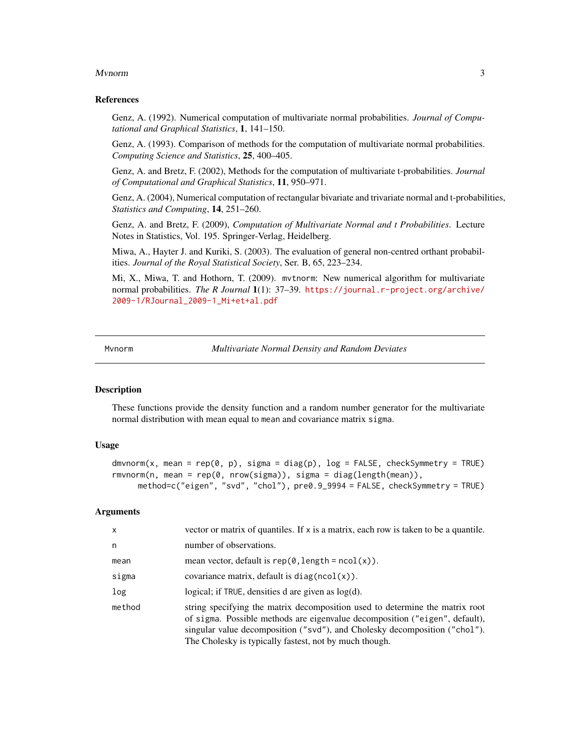#### <span id="page-2-0"></span>Mvnorm 3

#### References

Genz, A. (1992). Numerical computation of multivariate normal probabilities. *Journal of Computational and Graphical Statistics*, 1, 141–150.

Genz, A. (1993). Comparison of methods for the computation of multivariate normal probabilities. *Computing Science and Statistics*, 25, 400–405.

Genz, A. and Bretz, F. (2002), Methods for the computation of multivariate t-probabilities. *Journal of Computational and Graphical Statistics*, 11, 950–971.

Genz, A. (2004), Numerical computation of rectangular bivariate and trivariate normal and t-probabilities, *Statistics and Computing*, 14, 251–260.

Genz, A. and Bretz, F. (2009), *Computation of Multivariate Normal and t Probabilities*. Lecture Notes in Statistics, Vol. 195. Springer-Verlag, Heidelberg.

Miwa, A., Hayter J. and Kuriki, S. (2003). The evaluation of general non-centred orthant probabilities. *Journal of the Royal Statistical Society*, Ser. B, 65, 223–234.

Mi, X., Miwa, T. and Hothorn, T. (2009). mvtnorm: New numerical algorithm for multivariate normal probabilities. *The R Journal* 1(1): 37–39. [https://journal.r-project.org/archive/](https://journal.r-project.org/archive/2009-1/RJournal_2009-1_Mi+et+al.pdf) [2009-1/RJournal\\_2009-1\\_Mi+et+al.pdf](https://journal.r-project.org/archive/2009-1/RJournal_2009-1_Mi+et+al.pdf)

Mvnorm *Multivariate Normal Density and Random Deviates*

#### <span id="page-2-1"></span>Description

These functions provide the density function and a random number generator for the multivariate normal distribution with mean equal to mean and covariance matrix sigma.

#### Usage

```
dmvnorm(x, mean = rep(0, p), sigma = diag(p), log = FALSE, checkSymmetry = TRUE)
rmvnorm(n, mean = rep(0, nrow(sigma)), sigma = diag(length(mean)),
     method=c("eigen", "svd", "chol"), pre0.9_9994 = FALSE, checkSymmetry = TRUE)
```
#### Arguments

| $\mathsf{x}$ | vector or matrix of quantiles. If x is a matrix, each row is taken to be a quantile.                                                                                                                                                                                                                |
|--------------|-----------------------------------------------------------------------------------------------------------------------------------------------------------------------------------------------------------------------------------------------------------------------------------------------------|
| n            | number of observations.                                                                                                                                                                                                                                                                             |
| mean         | mean vector, default is $rep(0, length = ncol(x))$ .                                                                                                                                                                                                                                                |
| sigma        | covariance matrix, default is $diag(ncol(x))$ .                                                                                                                                                                                                                                                     |
| log          | logical; if TRUE, densities d are given as $log(d)$ .                                                                                                                                                                                                                                               |
| method       | string specifying the matrix decomposition used to determine the matrix root<br>of sigma. Possible methods are eigenvalue decomposition ("eigen", default),<br>singular value decomposition ("svd"), and Cholesky decomposition ("chol").<br>The Cholesky is typically fastest, not by much though. |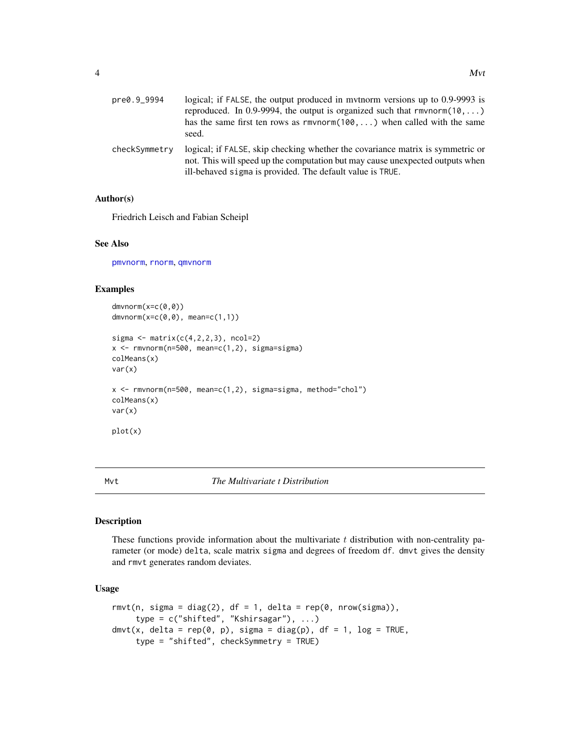<span id="page-3-0"></span>

| pre0.9_9994   | logical; if FALSE, the output produced in mythorm versions up to 0.9-9993 is<br>reproduced. In 0.9-9994, the output is organized such that $rmvnorm(10,)$<br>has the same first ten rows as $r$ mvnorm $(100, \ldots)$ when called with the same<br>seed. |
|---------------|-----------------------------------------------------------------------------------------------------------------------------------------------------------------------------------------------------------------------------------------------------------|
| checkSymmetry | logical; if FALSE, skip checking whether the covariance matrix is symmetric or<br>not. This will speed up the computation but may cause unexpected outputs when<br>ill-behaved sigma is provided. The default value is TRUE.                              |

#### Author(s)

Friedrich Leisch and Fabian Scheipl

#### See Also

[pmvnorm](#page-5-1), [rnorm](#page-0-0), [qmvnorm](#page-11-1)

#### Examples

```
dmvnorm(x=c(0,0))
dmvnorm(x=c(0,0), mean=c(1,1))
sigma \leq matrix(c(4,2,2,3), ncol=2)
x \leq -rmvnorm(n=500, mean=c(1,2), sigma=sigma)
colMeans(x)
var(x)
x <- rmvnorm(n=500, mean=c(1,2), sigma=sigma, method="chol")
colMeans(x)
var(x)
plot(x)
```
#### Mvt *The Multivariate t Distribution*

#### Description

These functions provide information about the multivariate  $t$  distribution with non-centrality parameter (or mode) delta, scale matrix sigma and degrees of freedom df. dmvt gives the density and rmvt generates random deviates.

#### Usage

```
rmvt(n, sigma = diag(2), df = 1, delta = rep(0, nrow(sigma)),
     type = c("shifted", "Kshirsagar"), ...)
dmvt(x, delta = rep(0, p), sigma = diag(p), df = 1, log = TRUE,
     type = "shifted", checkSymmetry = TRUE)
```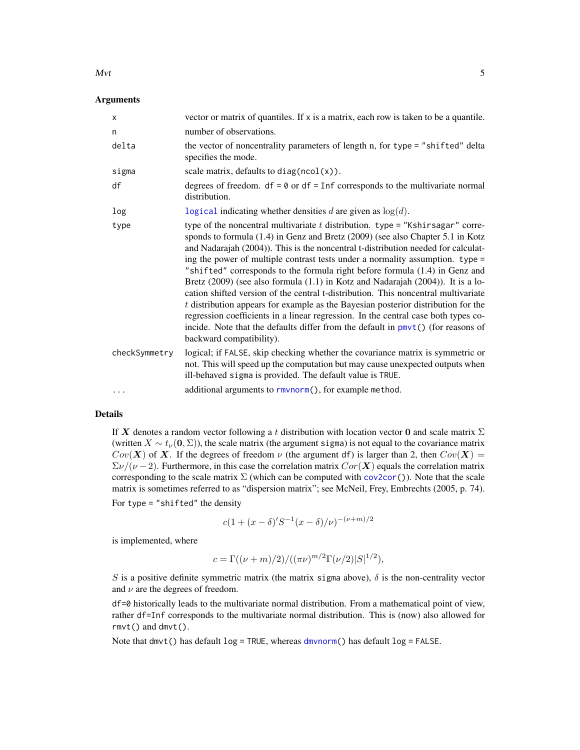#### <span id="page-4-0"></span> $Mvt$  5

#### **Arguments**

| $\times$      | vector or matrix of quantiles. If $x$ is a matrix, each row is taken to be a quantile.                                                                                                                                                                                                                                                                                                                                                                                                                                                                                                                                                                                                                                                                                                                                                                                                                   |
|---------------|----------------------------------------------------------------------------------------------------------------------------------------------------------------------------------------------------------------------------------------------------------------------------------------------------------------------------------------------------------------------------------------------------------------------------------------------------------------------------------------------------------------------------------------------------------------------------------------------------------------------------------------------------------------------------------------------------------------------------------------------------------------------------------------------------------------------------------------------------------------------------------------------------------|
| n             | number of observations.                                                                                                                                                                                                                                                                                                                                                                                                                                                                                                                                                                                                                                                                                                                                                                                                                                                                                  |
| delta         | the vector of noncentrality parameters of length n, for type = "shifted" delta<br>specifies the mode.                                                                                                                                                                                                                                                                                                                                                                                                                                                                                                                                                                                                                                                                                                                                                                                                    |
| sigma         | scale matrix, defaults to $diag(ncol(x))$ .                                                                                                                                                                                                                                                                                                                                                                                                                                                                                                                                                                                                                                                                                                                                                                                                                                                              |
| df            | degrees of freedom. $df = 0$ or $df = Inf$ corresponds to the multivariate normal<br>distribution.                                                                                                                                                                                                                                                                                                                                                                                                                                                                                                                                                                                                                                                                                                                                                                                                       |
| log           | logical indicating whether densities d are given as $log(d)$ .                                                                                                                                                                                                                                                                                                                                                                                                                                                                                                                                                                                                                                                                                                                                                                                                                                           |
| type          | type of the noncentral multivariate $t$ distribution. type = "Kshirsagar" corre-<br>sponds to formula (1.4) in Genz and Bretz (2009) (see also Chapter 5.1 in Kotz<br>and Nadarajah (2004)). This is the noncentral t-distribution needed for calculat-<br>ing the power of multiple contrast tests under a normality assumption. $type =$<br>"shifted" corresponds to the formula right before formula (1.4) in Genz and<br>Bretz $(2009)$ (see also formula $(1.1)$ in Kotz and Nadarajah $(2004)$ ). It is a lo-<br>cation shifted version of the central t-distribution. This noncentral multivariate<br>$t$ distribution appears for example as the Bayesian posterior distribution for the<br>regression coefficients in a linear regression. In the central case both types co-<br>incide. Note that the defaults differ from the default in $pmvt()$ (for reasons of<br>backward compatibility). |
| checkSymmetry | logical; if FALSE, skip checking whether the covariance matrix is symmetric or<br>not. This will speed up the computation but may cause unexpected outputs when<br>ill-behaved sigma is provided. The default value is TRUE.                                                                                                                                                                                                                                                                                                                                                                                                                                                                                                                                                                                                                                                                             |
| $\cdots$      | additional arguments to rmvnorm(), for example method.                                                                                                                                                                                                                                                                                                                                                                                                                                                                                                                                                                                                                                                                                                                                                                                                                                                   |

#### Details

If X denotes a random vector following a t distribution with location vector 0 and scale matrix  $\Sigma$ (written  $X \sim t_{\nu}(\mathbf{0}, \Sigma)$ ), the scale matrix (the argument sigma) is not equal to the covariance matrix  $Cov(X)$  of X. If the degrees of freedom  $\nu$  (the argument df) is larger than 2, then  $Cov(X) =$  $\Sigma \nu/(\nu - 2)$ . Furthermore, in this case the correlation matrix  $Cor(X)$  equals the correlation matrix corresponding to the scale matrix  $\Sigma$  (which can be computed with [cov2cor\(](#page-0-0))). Note that the scale matrix is sometimes referred to as "dispersion matrix"; see McNeil, Frey, Embrechts (2005, p. 74).

For type = "shifted" the density

$$
c(1 + (x - \delta)S^{-1}(x - \delta)/\nu)^{-(\nu+m)/2}
$$

is implemented, where

$$
c = \Gamma((\nu + m)/2)/((\pi \nu)^{m/2} \Gamma(\nu/2) |S|^{1/2}),
$$

S is a positive definite symmetric matrix (the matrix sigma above),  $\delta$  is the non-centrality vector and  $\nu$  are the degrees of freedom.

df=0 historically leads to the multivariate normal distribution. From a mathematical point of view, rather df=Inf corresponds to the multivariate normal distribution. This is (now) also allowed for rmvt() and dmvt().

Note that dmvt() has default log = TRUE, whereas [dmvnorm\(](#page-2-1)) has default log = FALSE.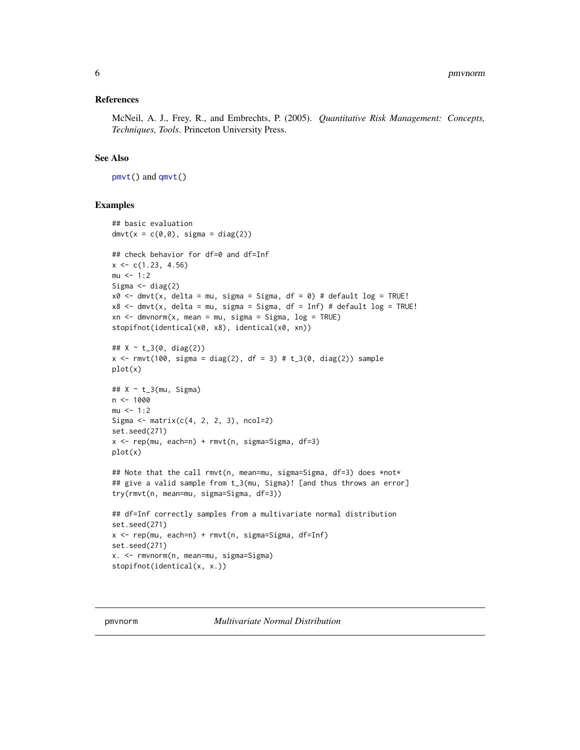#### <span id="page-5-0"></span>References

McNeil, A. J., Frey, R., and Embrechts, P. (2005). *Quantitative Risk Management: Concepts, Techniques, Tools*. Princeton University Press.

#### See Also

[pmvt\(](#page-8-1)) and [qmvt\(](#page-13-1))

#### Examples

```
## basic evaluation
dmvt(x = c(0,0), sigma = diag(2))## check behavior for df=0 and df=Inf
x \leq -c(1.23, 4.56)mu < - 1:2Sigma \leftarrow diag(2)
x0 \leq -dmvt(x, delta = mu, sigma = Sigma, df = 0) # default log = TRUE!
x8 <- dmvt(x, delta = mu, sigma = Sigma, df = Inf) # default log = TRUE!
xn \leq -dmvnorm(x, mean = mu, sigma = Sigma, log = TRUE)stopifnot(identical(x0, x8), identical(x0, xn))
## X ~ t_3(0, diag(2))
x <- rmvt(100, sigma = diag(2), df = 3) # t_3(0, diag(2)) sampleplot(x)
## X ~ t_3(mu, Sigma)
n < -1000mu < -1:2Sigma \leq matrix(c(4, 2, 2, 3), ncol=2)
set.seed(271)
x \leq -\text{rep}(\text{mu}, \text{each=n}) + \text{rmvt}(n, \text{sigma=Sigma}, \text{df=3})plot(x)
## Note that the call rmvt(n, mean=mu, sigma=Sigma, df=3) does *not*
## give a valid sample from t_3(mu, Sigma)! [and thus throws an error]
try(rmvt(n, mean=mu, sigma=Sigma, df=3))
## df=Inf correctly samples from a multivariate normal distribution
set.seed(271)
x <- rep(mu, each=n) + rmvt(n, sigma=Sigma, df=Inf)
set.seed(271)
x. <- rmvnorm(n, mean=mu, sigma=Sigma)
stopifnot(identical(x, x.))
```
<span id="page-5-1"></span>pmvnorm *Multivariate Normal Distribution*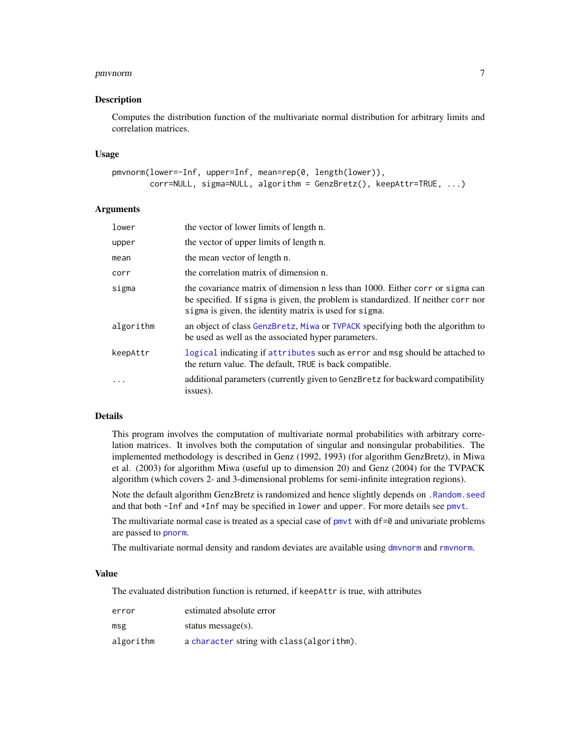#### <span id="page-6-0"></span>pmvnorm 7

#### Description

Computes the distribution function of the multivariate normal distribution for arbitrary limits and correlation matrices.

#### Usage

```
pmvnorm(lower=-Inf, upper=Inf, mean=rep(0, length(lower)),
       corr=NULL, sigma=NULL, algorithm = GenzBretz(), keepAttr=TRUE, ...)
```
#### Arguments

| lower     | the vector of lower limits of length n.                                                                                                                                                                                      |
|-----------|------------------------------------------------------------------------------------------------------------------------------------------------------------------------------------------------------------------------------|
| upper     | the vector of upper limits of length n.                                                                                                                                                                                      |
| mean      | the mean vector of length n.                                                                                                                                                                                                 |
| corr      | the correlation matrix of dimension n.                                                                                                                                                                                       |
| sigma     | the covariance matrix of dimension n less than 1000. Either corr or sigma can<br>be specified. If sigma is given, the problem is standardized. If neither corr nor<br>sigma is given, the identity matrix is used for sigma. |
| algorithm | an object of class GenzBretz, Miwa or TVPACK specifying both the algorithm to<br>be used as well as the associated hyper parameters.                                                                                         |
| keepAttr  | logical indicating if attributes such as error and msg should be attached to<br>the return value. The default, TRUE is back compatible.                                                                                      |
| $\cdot$   | additional parameters (currently given to GenzBretz for backward compatibility<br>issues).                                                                                                                                   |

#### Details

This program involves the computation of multivariate normal probabilities with arbitrary correlation matrices. It involves both the computation of singular and nonsingular probabilities. The implemented methodology is described in Genz (1992, 1993) (for algorithm GenzBretz), in Miwa et al. (2003) for algorithm Miwa (useful up to dimension 20) and Genz (2004) for the TVPACK algorithm (which covers 2- and 3-dimensional problems for semi-infinite integration regions).

Note the default algorithm GenzBretz is randomized and hence slightly depends on [.Random.seed](#page-0-0) and that both -Inf and +Inf may be specified in lower and upper. For more details see [pmvt](#page-8-1).

The multivariate normal case is treated as a special case of  $pmv$  with  $df=0$  and univariate problems are passed to [pnorm](#page-0-0).

The multivariate normal density and random deviates are available using [dmvnorm](#page-2-1) and [rmvnorm](#page-2-1).

#### Value

The evaluated distribution function is returned, if keepAttr is true, with attributes

| error     | estimated absolute error                   |
|-----------|--------------------------------------------|
| msg       | status message $(s)$ .                     |
| algorithm | a character string with class (algorithm). |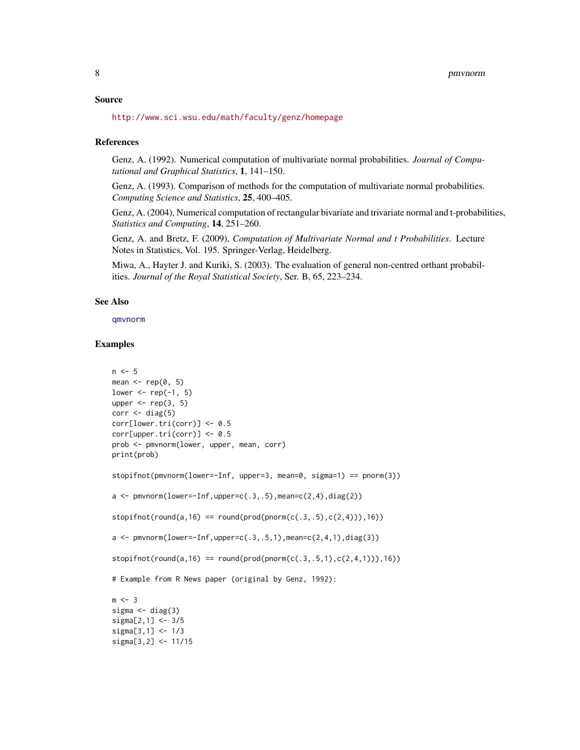#### <span id="page-7-0"></span>Source

<http://www.sci.wsu.edu/math/faculty/genz/homepage>

#### References

Genz, A. (1992). Numerical computation of multivariate normal probabilities. *Journal of Computational and Graphical Statistics*, 1, 141–150.

Genz, A. (1993). Comparison of methods for the computation of multivariate normal probabilities. *Computing Science and Statistics*, 25, 400–405.

Genz, A. (2004), Numerical computation of rectangular bivariate and trivariate normal and t-probabilities, *Statistics and Computing*, 14, 251–260.

Genz, A. and Bretz, F. (2009), *Computation of Multivariate Normal and t Probabilities*. Lecture Notes in Statistics, Vol. 195. Springer-Verlag, Heidelberg.

Miwa, A., Hayter J. and Kuriki, S. (2003). The evaluation of general non-centred orthant probabilities. *Journal of the Royal Statistical Society*, Ser. B, 65, 223–234.

#### See Also

[qmvnorm](#page-11-1)

#### Examples

```
n < -5mean \leq rep(0, 5)
lower \leq rep(-1, 5)
upper \leq rep(3, 5)
corr \leftarrow diag(5)corr[lower.tri(corr)] <- 0.5
corr[upper.tri(corr)] < -0.5prob <- pmvnorm(lower, upper, mean, corr)
print(prob)
stopifnot(pmvnorm(lower=-Inf, upper=3, mean=0, sigma=1) == pnorm(3))
a \leq -pmvnorm(lower=-Inf,upper=c(.3,.5),mean=c(2,4),diag(2))
stopifnot(round(a,16) == round(prod(pnorm(c(.3,.5),c(2,4))),16))a \leq pmvnorm(lower=-Inf,upper=c(.3,.5,1),mean=c(2,4,1),diag(3))
stopifnot(round(a,16) == round(prod(pmorn(c(.3,.5,1),c(2,4,1))),16))# Example from R News paper (original by Genz, 1992):
m < -3sigma \leq diag(3)
sigma[2,1] <- 3/5
sigma[3,1] <- 1/3
sigma[3,2] <- 11/15
```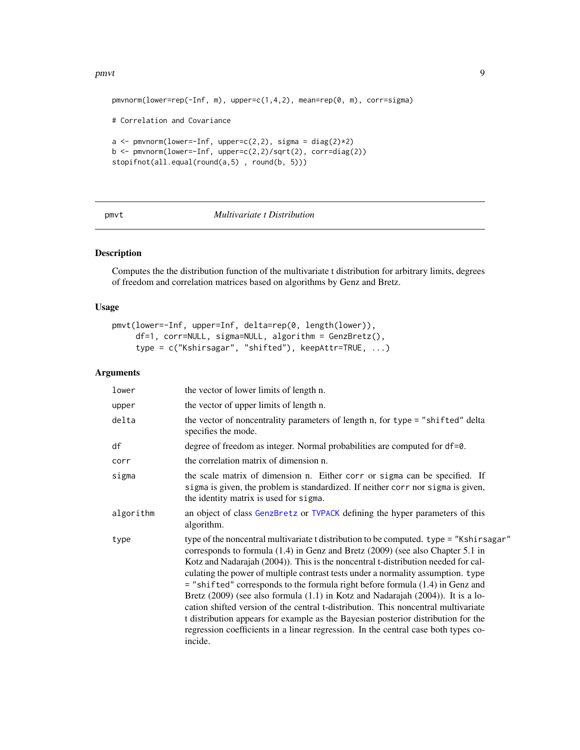#### <span id="page-8-0"></span>pmvt 9

```
pmvnorm(lower=rep(-Inf, m), upper=c(1,4,2), mean=rep(0, m), corr=sigma)
# Correlation and Covariance
a \leftarrow \text{pmvnorm}(\text{lower}=\text{Inf}, \text{upper}=c(2,2), \text{ sigma} = \text{diag}(2)*2)b \leq pmvnorm(lower=-Inf, upper=c(2,2)/sqrt(2), corr=diag(2))
stopifnot(all.equal(round(a,5) , round(b, 5)))
```
#### <span id="page-8-1"></span>pmvt *Multivariate t Distribution*

#### Description

Computes the the distribution function of the multivariate t distribution for arbitrary limits, degrees of freedom and correlation matrices based on algorithms by Genz and Bretz.

#### Usage

```
pmvt(lower=-Inf, upper=Inf, delta=rep(0, length(lower)),
     df=1, corr=NULL, sigma=NULL, algorithm = GenzBretz(),
     type = c("Kshirsagar", "shifted"), keepAttr=TRUE, ...)
```
#### Arguments

| lower     | the vector of lower limits of length n.                                                                                                                                                                                                                                                                                                                                                                                                                                                                                                                                                                                                                                                                                                                                                                          |  |
|-----------|------------------------------------------------------------------------------------------------------------------------------------------------------------------------------------------------------------------------------------------------------------------------------------------------------------------------------------------------------------------------------------------------------------------------------------------------------------------------------------------------------------------------------------------------------------------------------------------------------------------------------------------------------------------------------------------------------------------------------------------------------------------------------------------------------------------|--|
| upper     | the vector of upper limits of length n.                                                                                                                                                                                                                                                                                                                                                                                                                                                                                                                                                                                                                                                                                                                                                                          |  |
| delta     | the vector of noncentrality parameters of length n, for type = "shifted" delta<br>specifies the mode.                                                                                                                                                                                                                                                                                                                                                                                                                                                                                                                                                                                                                                                                                                            |  |
| df        | degree of freedom as integer. Normal probabilities are computed for df=0.                                                                                                                                                                                                                                                                                                                                                                                                                                                                                                                                                                                                                                                                                                                                        |  |
| corr      | the correlation matrix of dimension n.                                                                                                                                                                                                                                                                                                                                                                                                                                                                                                                                                                                                                                                                                                                                                                           |  |
| sigma     | the scale matrix of dimension n. Either corr or sigma can be specified. If<br>sigma is given, the problem is standardized. If neither corr nor sigma is given,<br>the identity matrix is used for sigma.                                                                                                                                                                                                                                                                                                                                                                                                                                                                                                                                                                                                         |  |
| algorithm | an object of class GenzBretz or TVPACK defining the hyper parameters of this<br>algorithm.                                                                                                                                                                                                                                                                                                                                                                                                                                                                                                                                                                                                                                                                                                                       |  |
| type      | type of the noncentral multivariate t distribution to be computed. type = "Kshirsagar"<br>corresponds to formula $(1.4)$ in Genz and Bretz $(2009)$ (see also Chapter 5.1 in<br>Kotz and Nadarajah (2004)). This is the noncentral t-distribution needed for cal-<br>culating the power of multiple contrast tests under a normality assumption. type<br>$=$ "shifted" corresponds to the formula right before formula $(1.4)$ in Genz and<br>Bretz $(2009)$ (see also formula $(1.1)$ in Kotz and Nadarajah $(2004)$ ). It is a lo-<br>cation shifted version of the central t-distribution. This noncentral multivariate<br>t distribution appears for example as the Bayesian posterior distribution for the<br>regression coefficients in a linear regression. In the central case both types co-<br>incide. |  |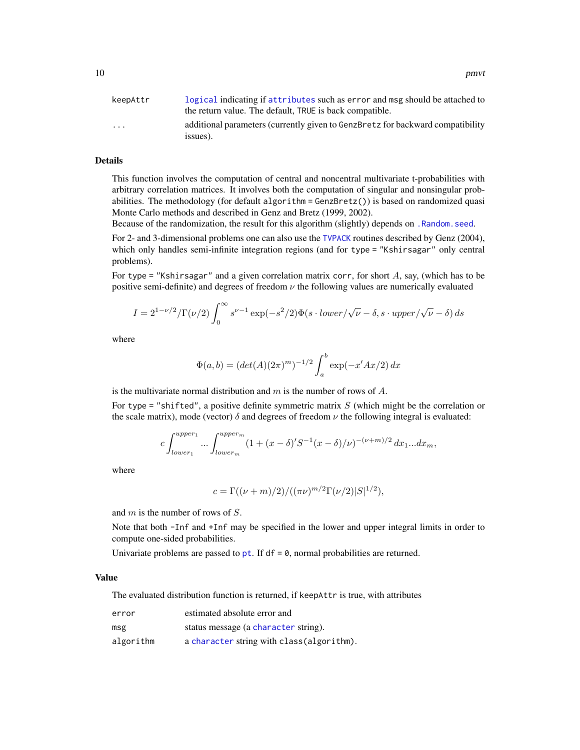<span id="page-9-0"></span>

| keepAttr                | logical indicating if attributes such as error and msg should be attached to               |
|-------------------------|--------------------------------------------------------------------------------------------|
|                         | the return value. The default, TRUE is back compatible.                                    |
| $\cdot$ $\cdot$ $\cdot$ | additional parameters (currently given to GenzBretz for backward compatibility<br>issues). |

#### Details

This function involves the computation of central and noncentral multivariate t-probabilities with arbitrary correlation matrices. It involves both the computation of singular and nonsingular probabilities. The methodology (for default algorithm = GenzBretz()) is based on randomized quasi Monte Carlo methods and described in Genz and Bretz (1999, 2002).

Because of the randomization, the result for this algorithm (slightly) depends on [.Random.seed](#page-0-0).

For 2- and 3-dimensional problems one can also use the [TVPACK](#page-1-1) routines described by Genz (2004), which only handles semi-infinite integration regions (and for type = "Kshirsagar" only central problems).

For type = "Kshirsagar" and a given correlation matrix corr, for short A, say, (which has to be positive semi-definite) and degrees of freedom  $\nu$  the following values are numerically evaluated

$$
I = 2^{1-\nu/2}/\Gamma(\nu/2) \int_0^\infty s^{\nu-1} \exp(-s^2/2) \Phi(s \cdot lower/\sqrt{\nu} - \delta, s \cdot upper/\sqrt{\nu} - \delta) ds
$$

where

$$
\Phi(a, b) = (det(A)(2\pi)^m)^{-1/2} \int_a^b \exp(-x'Ax/2) dx
$$

is the multivariate normal distribution and  $m$  is the number of rows of  $A$ .

For type = "shifted", a positive definite symmetric matrix  $S$  (which might be the correlation or the scale matrix), mode (vector)  $\delta$  and degrees of freedom  $\nu$  the following integral is evaluated:

$$
c \int_{lower_1}^{upper_1} \dots \int_{lower_m}^{upper_m} (1 + (x - \delta)'S^{-1}(x - \delta)/\nu)^{-(\nu + m)/2} dx_1 ... dx_m,
$$

where

$$
c = \Gamma((\nu + m)/2)/((\pi \nu)^{m/2} \Gamma(\nu/2) |S|^{1/2}),
$$

and m is the number of rows of S.

Note that both -Inf and +Inf may be specified in the lower and upper integral limits in order to compute one-sided probabilities.

Univariate problems are passed to  $pt.$  $pt.$  If df = 0, normal probabilities are returned.

#### Value

The evaluated distribution function is returned, if keepAttr is true, with attributes

| error     | estimated absolute error and               |
|-----------|--------------------------------------------|
| msg       | status message (a character string).       |
| algorithm | a character string with class (algorithm). |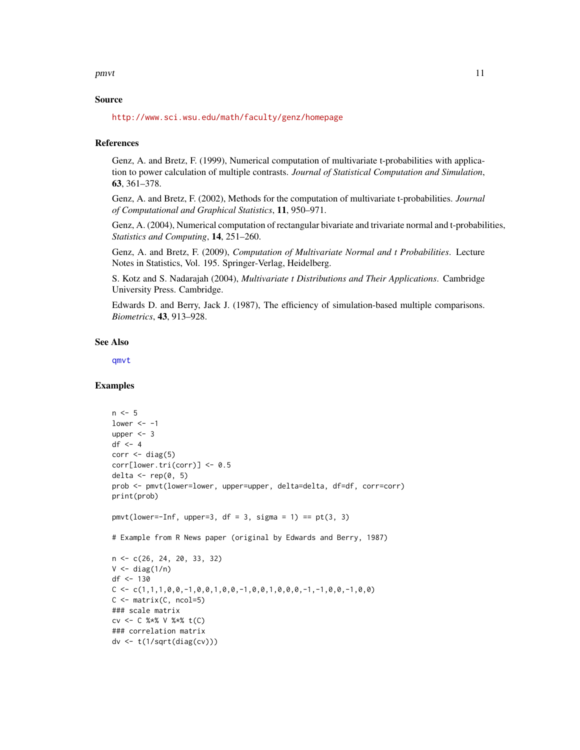<span id="page-10-0"></span>pmvt 11

#### Source

<http://www.sci.wsu.edu/math/faculty/genz/homepage>

#### References

Genz, A. and Bretz, F. (1999), Numerical computation of multivariate t-probabilities with application to power calculation of multiple contrasts. *Journal of Statistical Computation and Simulation*, 63, 361–378.

Genz, A. and Bretz, F. (2002), Methods for the computation of multivariate t-probabilities. *Journal of Computational and Graphical Statistics*, 11, 950–971.

Genz, A. (2004), Numerical computation of rectangular bivariate and trivariate normal and t-probabilities, *Statistics and Computing*, 14, 251–260.

Genz, A. and Bretz, F. (2009), *Computation of Multivariate Normal and t Probabilities*. Lecture Notes in Statistics, Vol. 195. Springer-Verlag, Heidelberg.

S. Kotz and S. Nadarajah (2004), *Multivariate t Distributions and Their Applications*. Cambridge University Press. Cambridge.

Edwards D. and Berry, Jack J. (1987), The efficiency of simulation-based multiple comparisons. *Biometrics*, 43, 913–928.

#### See Also

[qmvt](#page-13-1)

#### Examples

```
n < -5lower <-1upper <- 3
df \leftarrow 4corr \leftarrow diag(5)corr[lower.tri(corr)] < -0.5delta \leq rep(0, 5)
prob <- pmvt(lower=lower, upper=upper, delta=delta, df=df, corr=corr)
print(prob)
pmvt(lower=-Inf, upper=3, df = 3, sigma = 1) == pt(3, 3)# Example from R News paper (original by Edwards and Berry, 1987)
n <- c(26, 24, 20, 33, 32)
V \leftarrow diag(1/n)df <- 130
C \leftarrow C(1,1,1,0,0,-1,0,0,1,0,0,-1,0,0,1,0,0,0,-1,-1,0,0,-1,0,0)C \leq - matrix(C, ncol=5)
### scale matrix
cv <- C %*% V %*% t(C)
### correlation matrix
dv <- t(1/sqrt(diag(cv)))
```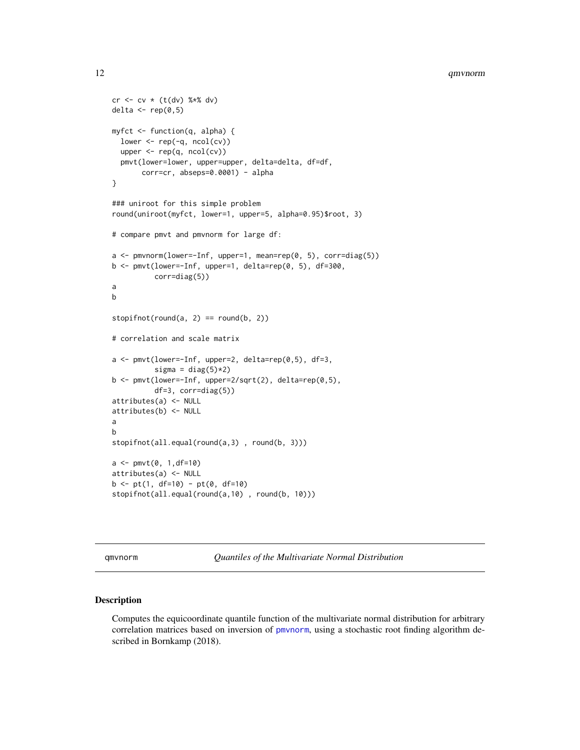```
cr < - cv * (t(dv) % % dv)
delta \leq rep(0,5)
myfct <- function(q, alpha) {
  lower \leq rep(-q, ncol(cv))
  upper <- rep(q, ncol(cv))
  pmvt(lower=lower, upper=upper, delta=delta, df=df,
       corr=cr, abseps=0.0001) - alpha
}
### uniroot for this simple problem
round(uniroot(myfct, lower=1, upper=5, alpha=0.95)$root, 3)
# compare pmvt and pmvnorm for large df:
a <- pmvnorm(lower=-Inf, upper=1, mean=rep(0, 5), corr=diag(5))
b <- pmvt(lower=-Inf, upper=1, delta=rep(0, 5), df=300,
          corr=diag(5))
a
b
stopifnot(round(a, 2) == round(b, 2))# correlation and scale matrix
a <- pmvt(lower=-Inf, upper=2, delta=rep(0,5), df=3,
          sigma = diag(5)*2)b <- pmvt(lower=-Inf, upper=2/sqrt(2), delta=rep(0,5),
          df=3, corr=diag(5))
attributes(a) <- NULL
attributes(b) <- NULL
a
b
stopifnot(all.equal(round(a,3) , round(b, 3)))
a \leq -p mvt(0, 1, df=10)attributes(a) <- NULL
b \leq pt(1, df=10) - pt(0, df=10)stopifnot(all.equal(round(a,10) , round(b, 10)))
```
<span id="page-11-1"></span>qmvnorm *Quantiles of the Multivariate Normal Distribution*

#### Description

Computes the equicoordinate quantile function of the multivariate normal distribution for arbitrary correlation matrices based on inversion of [pmvnorm](#page-5-1), using a stochastic root finding algorithm described in Bornkamp (2018).

<span id="page-11-0"></span>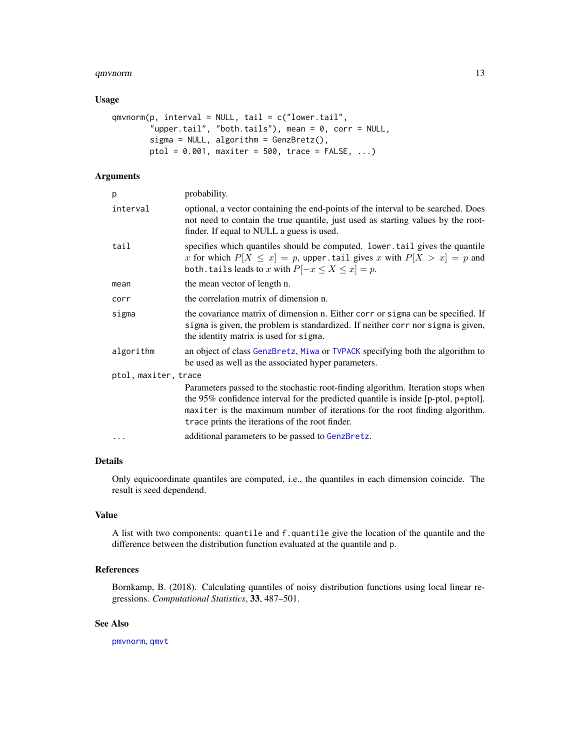#### <span id="page-12-0"></span>qmvnorm and the contract of the contract of the contract of the contract of the contract of the contract of the contract of the contract of the contract of the contract of the contract of the contract of the contract of th

#### Usage

```
qmvnorm(p, interval = NULL, tail = c("lower.tail","upper.tail", "both.tails"), mean = 0, corr = NULL,
       sigma = NULL, algorithm = GenzBretz(),
       ptol = 0.001, maxiter = 500, trace = FALSE, ...)
```
#### Arguments

| p                    | probability.                                                                                                                                                                                                                                                                                             |
|----------------------|----------------------------------------------------------------------------------------------------------------------------------------------------------------------------------------------------------------------------------------------------------------------------------------------------------|
| interval             | optional, a vector containing the end-points of the interval to be searched. Does<br>not need to contain the true quantile, just used as starting values by the root-<br>finder. If equal to NULL a guess is used.                                                                                       |
| tail                 | specifies which quantiles should be computed. Lower.tail gives the quantile<br>x for which $P[X \le x] = p$ , upper tail gives x with $P[X > x] = p$ and<br>both tails leads to x with $P[-x \le X \le x] = p$ .                                                                                         |
| mean                 | the mean vector of length n.                                                                                                                                                                                                                                                                             |
| corr                 | the correlation matrix of dimension n.                                                                                                                                                                                                                                                                   |
| sigma                | the covariance matrix of dimension n. Either corr or sigma can be specified. If<br>sigma is given, the problem is standardized. If neither corr nor sigma is given,<br>the identity matrix is used for sigma.                                                                                            |
| algorithm            | an object of class GenzBretz, Miwa or TVPACK specifying both the algorithm to<br>be used as well as the associated hyper parameters.                                                                                                                                                                     |
| ptol, maxiter, trace |                                                                                                                                                                                                                                                                                                          |
|                      | Parameters passed to the stochastic root-finding algorithm. Iteration stops when<br>the 95% confidence interval for the predicted quantile is inside [p-ptol, p+ptol].<br>maxiter is the maximum number of iterations for the root finding algorithm.<br>trace prints the iterations of the root finder. |
| .                    | additional parameters to be passed to GenzBretz.                                                                                                                                                                                                                                                         |
|                      |                                                                                                                                                                                                                                                                                                          |

#### Details

Only equicoordinate quantiles are computed, i.e., the quantiles in each dimension coincide. The result is seed dependend.

#### Value

A list with two components: quantile and f.quantile give the location of the quantile and the difference between the distribution function evaluated at the quantile and p.

#### References

Bornkamp, B. (2018). Calculating quantiles of noisy distribution functions using local linear regressions. *Computational Statistics*, 33, 487–501.

#### See Also

[pmvnorm](#page-5-1), [qmvt](#page-13-1)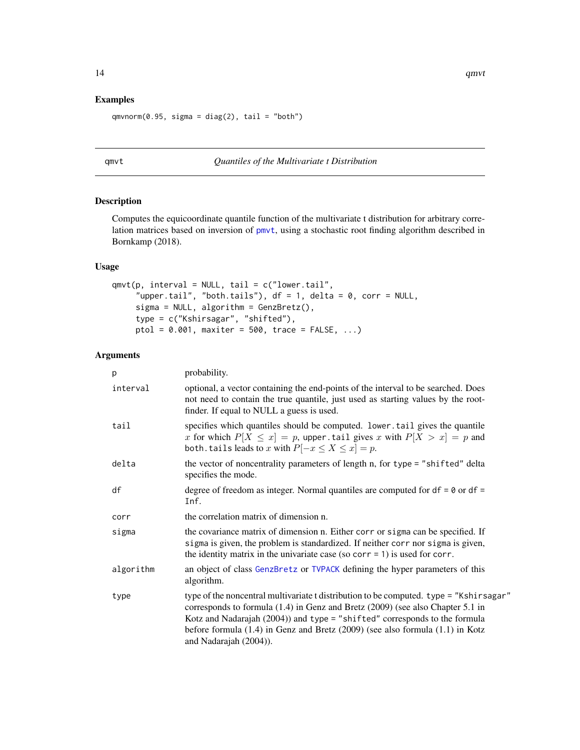#### Examples

```
qmvnorm(0.95, sigma = diag(2), tail = "both")
```
#### <span id="page-13-1"></span>qmvt *Quantiles of the Multivariate t Distribution*

#### Description

Computes the equicoordinate quantile function of the multivariate t distribution for arbitrary correlation matrices based on inversion of [pmvt](#page-8-1), using a stochastic root finding algorithm described in Bornkamp (2018).

#### Usage

```
qmvt(p, interval = NULL, tail = c("lower.tail","upper.tail", "both.tails"), df = 1, delta = 0, corr = NULL,
     sigma = NULL, algorithm = GenzBretz(),
     type = c("Kshirsagar", "shifted"),
     ptol = 0.001, maxiter = 500, trace = FALSE, ...)
```
#### Arguments

| p         | probability.                                                                                                                                                                                                                                                                                                                                                                |
|-----------|-----------------------------------------------------------------------------------------------------------------------------------------------------------------------------------------------------------------------------------------------------------------------------------------------------------------------------------------------------------------------------|
| interval  | optional, a vector containing the end-points of the interval to be searched. Does<br>not need to contain the true quantile, just used as starting values by the root-<br>finder. If equal to NULL a guess is used.                                                                                                                                                          |
| tail      | specifies which quantiles should be computed. lower tail gives the quantile<br>x for which $P[X \le x] = p$ , upper tail gives x with $P[X > x] = p$ and<br>both. tails leads to x with $P[-x \le X \le x] = p$ .                                                                                                                                                           |
| delta     | the vector of noncentrality parameters of length n, for type = "shifted" delta<br>specifies the mode.                                                                                                                                                                                                                                                                       |
| df        | degree of freedom as integer. Normal quantiles are computed for $df = 0$ or $df =$<br>Inf.                                                                                                                                                                                                                                                                                  |
| corr      | the correlation matrix of dimension n.                                                                                                                                                                                                                                                                                                                                      |
| sigma     | the covariance matrix of dimension n. Either corr or sigma can be specified. If<br>sigma is given, the problem is standardized. If neither corr nor sigma is given,<br>the identity matrix in the univariate case (so corr = 1) is used for corr.                                                                                                                           |
| algorithm | an object of class GenzBretz or TVPACK defining the hyper parameters of this<br>algorithm.                                                                                                                                                                                                                                                                                  |
| type      | type of the noncentral multivariate t distribution to be computed. type = "Kshirsagar"<br>corresponds to formula $(1.4)$ in Genz and Bretz $(2009)$ (see also Chapter 5.1 in<br>Kotz and Nadarajah (2004)) and type = "shifted" corresponds to the formula<br>before formula $(1.4)$ in Genz and Bretz $(2009)$ (see also formula $(1.1)$ in Kotz<br>and Nadarajah (2004)). |

<span id="page-13-0"></span>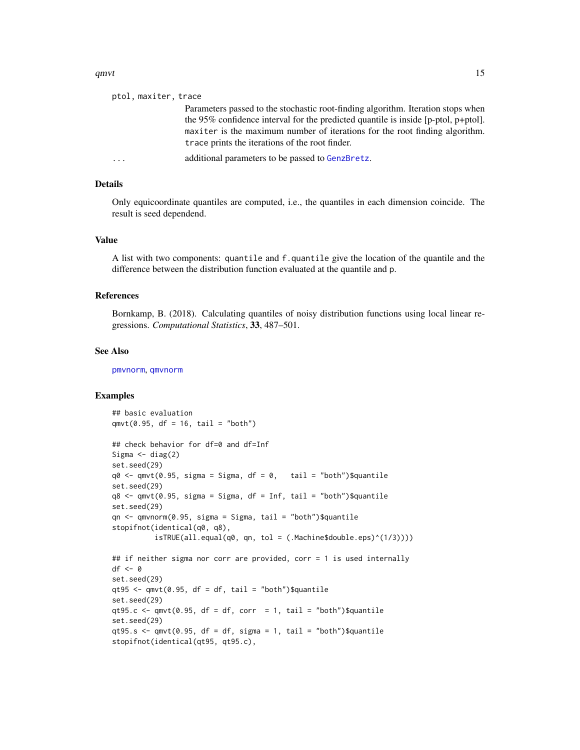#### <span id="page-14-0"></span>qmvt $15$

| ptol, maxiter, trace    |                                                                                                                                                                                                                                                                                                                |
|-------------------------|----------------------------------------------------------------------------------------------------------------------------------------------------------------------------------------------------------------------------------------------------------------------------------------------------------------|
|                         | Parameters passed to the stochastic root-finding algorithm. Iteration stops when<br>the 95% confidence interval for the predicted quantile is inside $[p$ -ptol, $p$ +ptol].<br>maxiter is the maximum number of iterations for the root finding algorithm.<br>trace prints the iterations of the root finder. |
| $\cdot$ $\cdot$ $\cdot$ | additional parameters to be passed to GenzBretz.                                                                                                                                                                                                                                                               |

#### Details

Only equicoordinate quantiles are computed, i.e., the quantiles in each dimension coincide. The result is seed dependend.

#### Value

A list with two components: quantile and f.quantile give the location of the quantile and the difference between the distribution function evaluated at the quantile and p.

#### References

Bornkamp, B. (2018). Calculating quantiles of noisy distribution functions using local linear regressions. *Computational Statistics*, 33, 487–501.

#### See Also

[pmvnorm](#page-5-1), [qmvnorm](#page-11-1)

#### Examples

```
## basic evaluation
qmvt(0.95, df = 16, tail = "both")## check behavior for df=0 and df=Inf
Sigma \leftarrow diag(2)
set.seed(29)
q0 \leq q mvt(0.95, sigma = Sigma, df = 0, tail = "both")$quantile
set.seed(29)
q8 <- qmvt(0.95, sigma = Sigma, df = Inf, tail = "both")$quantile
set.seed(29)
qn <- qmvnorm(0.95, sigma = Sigma, tail = "both")$quantile
stopifnot(identical(q0, q8),
          isTRUE(all.equal(q0, qn, tol = (.Machine$double.eps)^(1/3))))
## if neither sigma nor corr are provided, corr = 1 is used internally
df <- 0
set.seed(29)
qt95 <- qmvt(0.95, df = df, tail = "both")$quantile
set.seed(29)
qt95.c \leq qmvt(0.95, df = df, corr = 1, tail = "both")$quantile
set.seed(29)
qt95.s \leq qmvt(0.95, df = df, sigma = 1, tail = "both")$quantile
stopifnot(identical(qt95, qt95.c),
```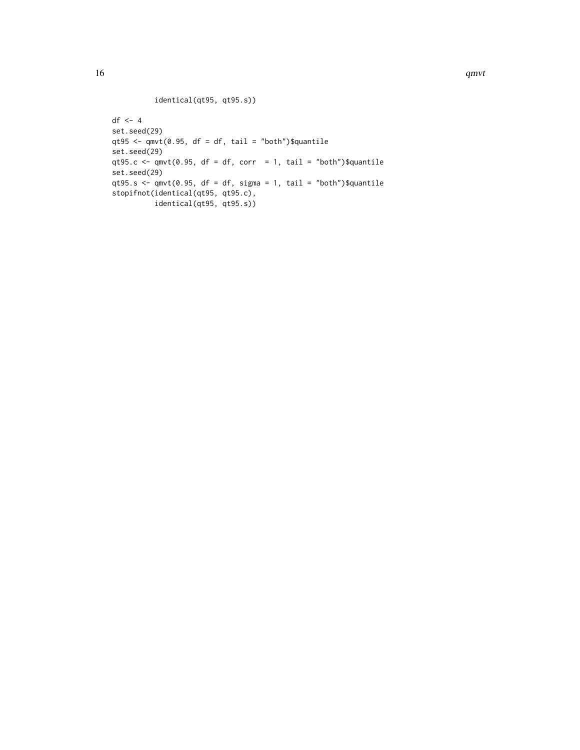### identical(qt95, qt95.s))

```
df <- 4
set.seed(29)
qt95 <- qmvt(0.95, df = df, tail = "both")$quantile
set.seed(29)
qt95.c \leq qmvt(0.95, df = df, corr = 1, tail = "both")$quantile
set.seed(29)
qt95.s \leq qmvt(0.95, df = df, sigma = 1, tail = "both")$quantile
stopifnot(identical(qt95, qt95.c),
          identical(qt95, qt95.s))
```